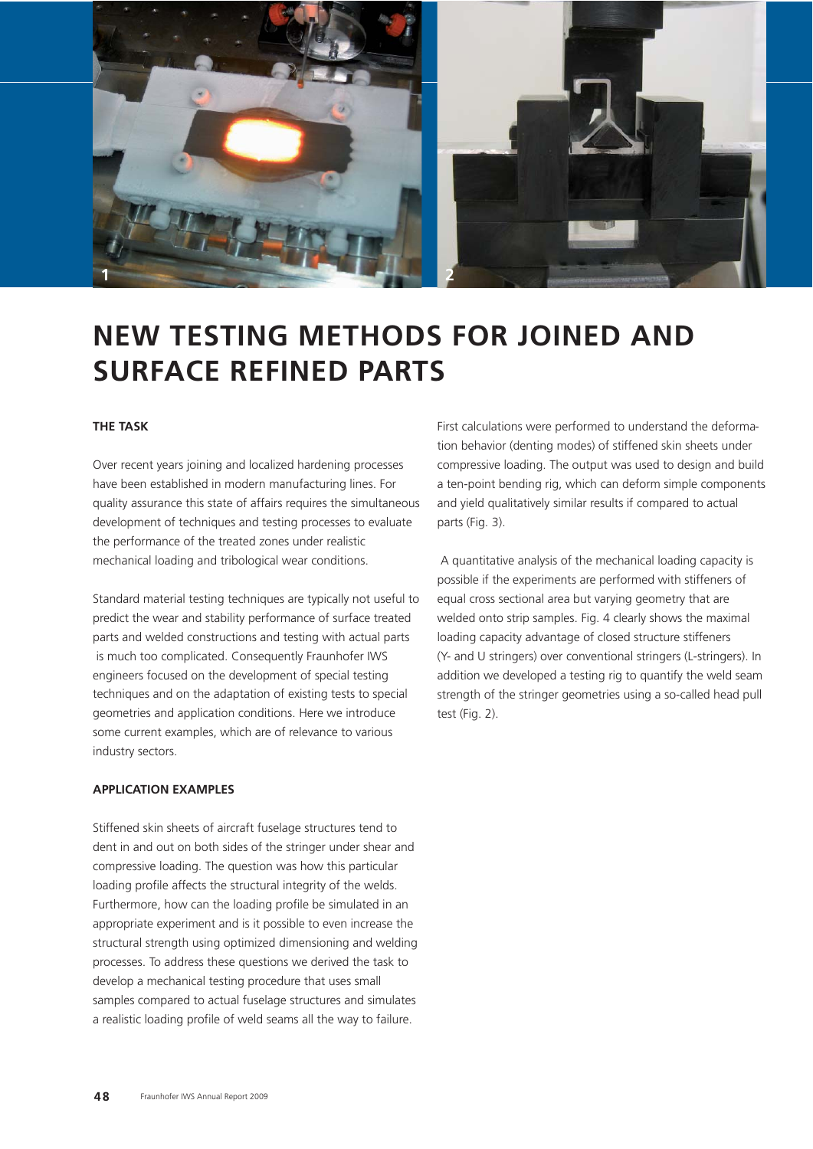

# **NEW TESTING METHODS FOR JOINED AND SURFACE REFINED PARTS**

### **THE TASK**

Over recent years joining and localized hardening processes have been established in modern manufacturing lines. For quality assurance this state of affairs requires the simultaneous development of techniques and testing processes to evaluate the performance of the treated zones under realistic mechanical loading and tribological wear conditions.

Standard material testing techniques are typically not useful to predict the wear and stability performance of surface treated parts and welded constructions and testing with actual parts is much too complicated. Consequently Fraunhofer IWS engineers focused on the development of special testing techniques and on the adaptation of existing tests to special geometries and application conditions. Here we introduce some current examples, which are of relevance to various industry sectors.

#### **APPLICATION EXAMPLES**

Stiffened skin sheets of aircraft fuselage structures tend to dent in and out on both sides of the stringer under shear and compressive loading. The question was how this particular loading profile affects the structural integrity of the welds. Furthermore, how can the loading profile be simulated in an appropriate experiment and is it possible to even increase the structural strength using optimized dimensioning and welding processes. To address these questions we derived the task to develop a mechanical testing procedure that uses small samples compared to actual fuselage structures and simulates a realistic loading profile of weld seams all the way to failure.

First calculations were performed to understand the deformation behavior (denting modes) of stiffened skin sheets under compressive loading. The output was used to design and build a ten-point bending rig, which can deform simple components and yield qualitatively similar results if compared to actual parts (Fig. 3).

A quantitative analysis of the mechanical loading capacity is possible if the experiments are performed with stiffeners of equal cross sectional area but varying geometry that are welded onto strip samples. Fig. 4 clearly shows the maximal loading capacity advantage of closed structure stiffeners (Y- and U stringers) over conventional stringers (L-stringers). In addition we developed a testing rig to quantify the weld seam strength of the stringer geometries using a so-called head pull test (Fig. 2).